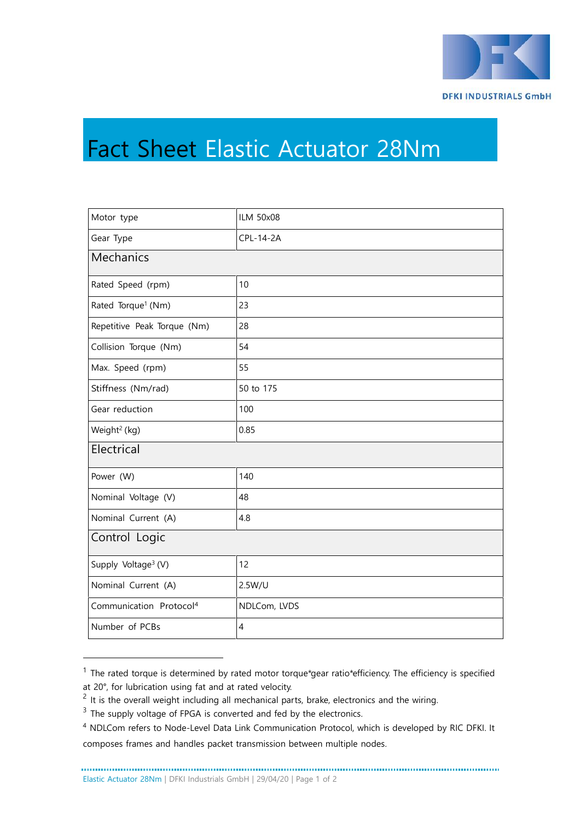

## Fact Sheet Elastic Actuator 28Nm

| Motor type                          | <b>ILM 50x08</b> |  |
|-------------------------------------|------------------|--|
| Gear Type                           | CPL-14-2A        |  |
| Mechanics                           |                  |  |
| Rated Speed (rpm)                   | 10               |  |
| Rated Torque <sup>1</sup> (Nm)      | 23               |  |
| Repetitive Peak Torque (Nm)         | 28               |  |
| Collision Torque (Nm)               | 54               |  |
| Max. Speed (rpm)                    | 55               |  |
| Stiffness (Nm/rad)                  | 50 to 175        |  |
| Gear reduction                      | 100              |  |
| Weight <sup>2</sup> (kg)            | 0.85             |  |
| Electrical                          |                  |  |
| Power (W)                           | 140              |  |
| Nominal Voltage (V)                 | 48               |  |
| Nominal Current (A)                 | 4.8              |  |
| Control Logic                       |                  |  |
| Supply Voltage <sup>3</sup> (V)     | 12               |  |
| Nominal Current (A)                 | 2.5W/U           |  |
| Communication Protocol <sup>4</sup> | NDLCom, LVDS     |  |
| Number of PCBs                      | $\overline{4}$   |  |

 $1$  The rated torque is determined by rated motor torque\*gear ratio\*efficiency. The efficiency is specified at 20°, for lubrication using fat and at rated velocity.

 $2$  It is the overall weight including all mechanical parts, brake, electronics and the wiring.

<sup>&</sup>lt;sup>3</sup> The supply voltage of FPGA is converted and fed by the electronics.

<sup>4</sup> NDLCom refers to Node-Level Data Link Communication Protocol, which is developed by RIC DFKI. It composes frames and handles packet transmission between multiple nodes.